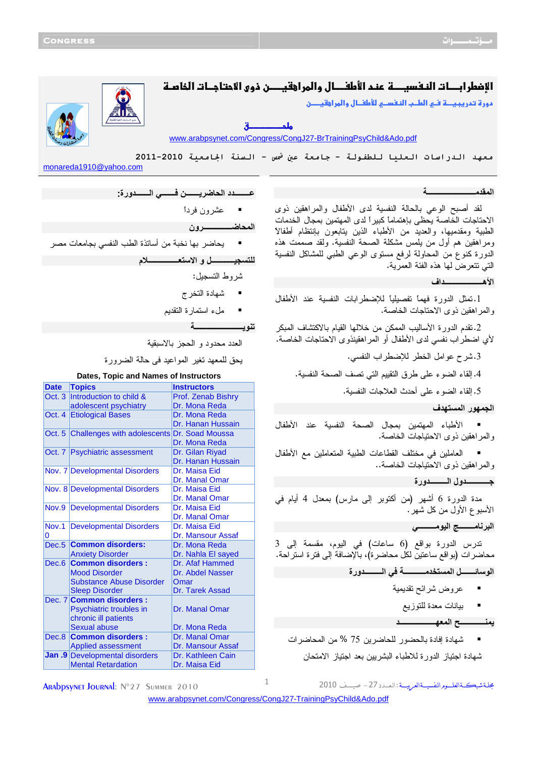# الإضطرابـــات النـفسيـــــة عنـد الأطفــــال والمراهقيـــــن ذوى الاحتاجــات الخاصــة

دو"
د-#\$
אط&
א #
%ط ل
وאאن

ملم كانت ق

<www.arabpsynet.com/Congress/CongJ27-BrTrainingPsyChild&Ado.pdf>

معهد الـدراسات الـعليا لـلطفولـة - جامعة عن <sup>ش</sup>س - الـسنة الجامعية 2010-2011 monareda1910@yahoo.com

## *<u><b> <b>*</u> **ا&%ـــــــــــــــــــــــــ\$**

لقد أصبح الوعي بالحالة النفسية لدى الأطفال والمراهقين ذوى الاحتاجات الخاصة يحظى بإهتماماً كبيراً لدى المهتمين بمجال الخدمات الطبية ومقدميها، والعديد من الأطباء الذين يتابعون بإنتظام أطفالاً ومراهقين هم أول من يلمس مشكلة الصحة النفسية. ولقد صممت هذه الدورة كنوع من المحاولة لرفع مستوى الوعي الطبي للمشاكل النفسية التي تتعرض لها هذه الفئة العمرية .

### **ا)هــــــــــــــــــــاف**

.1تمثل الدورة فهماً تفصيلياً للإضطرابات النفسية عند الأطفال والمراهقين ذوى الاحتاجات الخاصة.

.2تقدم الدورة الأساليب الممكن من خلالها القيام بالاكتشاف المبكر لأي اضطراب نفسي لدى الأطفال أو المراهقينذوى الاحتاجات الخاصة.

.3شرح عوامل الخطر للإضطراب النفسي.

.4إلقاء الضوء على طرق التقييم التي تصف الصحة النفسية.

.5إلقاء الضوء على أحدث العلاجات النفسية.

## الجمهور المستهد**ف**

. الأطباء المهتمين بمجال الصحة النفسية عند الأطفال والمراهقين ذوى الاحتياجات الخاصة.

 العاملين في مختلف القطاعات الطبية المتعاملين مع الأطفال والمراهقين ذوى الاحتياجات الخاصة..

**+ــــــــــــول اـــــــــورة** 

مدة الدورة 6 أشهر (من أكتوبر إلى مارس) بمعدل 4 أيام في الأسبوع الأول من كل شهر .

## البرنامـــــــــج اليومــــــــــ*ي*

تدرس الدورة بواقع (6 ساعات) في اليوم، مقسمة إلى 3 محاضرات ( بواقع ساعتين لكل محاضرة)، بالإضافة إلى فتر ة استراحة. الوسائــــــــل المستخدمــــــــــــــة ف*ي* الــــــــــدورة

- عروض شرائح تقديمية
	- - بيانات معدة للتوزيع

**"ـــــــــــــ2 ا\*ـــــــــــــــــــ** 

 شهادة إفادة بالحضور للحاضرين 75 % من المحاضرات شهادة اجتياز الدورة للاطباء البشريين بعد اجتياز الامتحان

مجلةشبكــةالعلــورالنفسيــةالعربيـــة:العــدد 27 – صيـــف 2010

 يحاضر بها نخبة من أساتذة الطب النفسي بجامعات مصر **ــــــــــــ و اــــــــــــــــ م** 

**ــــــــد اـــــــ 
ـــــــ اـــــــورة:** 

شروط التسجيل :

 $\blacksquare$ 

 عشرون فرداً **اـــــــــــــــون** 

شهادة التخرج

ملء استمارة التقديم

**#"!ـــــــــــــــــــــــــ\$**

العدد محدود و الحجز بالاسبقية

يحق للمعهد تغير المواعيد فى حالة الضرورة

### **Dates, Topic and Names of Instructors**

| <b>Date</b>       | <b>Topics</b>                                      | <b>Instructors</b> |
|-------------------|----------------------------------------------------|--------------------|
| Oct.3             | Introduction to child &                            | Prof. Zenab Bishry |
|                   | adolescent psychiatry                              | Dr. Mona Reda      |
| Oct. 4            | <b>Etiological Bases</b>                           | Dr. Mona Reda      |
|                   |                                                    | Dr. Hanan Hussain  |
|                   | Oct. 5 Challenges with adolescents Dr. Soad Moussa |                    |
|                   |                                                    | Dr. Mona Reda      |
|                   | Oct. 7 Psychiatric assessment                      | Dr. Gilan Riyad    |
|                   |                                                    | Dr. Hanan Hussain  |
|                   | Nov. 7 Developmental Disorders                     | Dr. Maisa Eid      |
|                   |                                                    | Dr. Manal Omar     |
|                   | Nov. 8 Developmental Disorders                     | Dr. Maisa Eid      |
|                   |                                                    | Dr. Manal Omar     |
| Nov.9             | <b>Developmental Disorders</b>                     | Dr. Maisa Eid      |
|                   |                                                    | Dr. Manal Omar     |
| Nov.1             | <b>Developmental Disorders</b>                     | Dr. Maisa Eid      |
| 0                 |                                                    | Dr. Mansour Assaf  |
| Dec. <sub>5</sub> | <b>Common disorders:</b>                           | Dr. Mona Reda      |
|                   | <b>Anxiety Disorder</b>                            | Dr. Nahla El sayed |
| Dec.6             | <b>Common disorders:</b>                           | Dr. Afaf Hammed    |
|                   | <b>Mood Disorder</b>                               | Dr. Abdel Nasser   |
|                   | <b>Substance Abuse Disorder</b>                    | Omar               |
|                   | <b>Sleep Disorder</b>                              | Dr. Tarek Assad    |
|                   | Dec. 7 Common disorders :                          |                    |
|                   | Psychiatric troubles in                            | Dr. Manal Omar     |
|                   | chronic ill patients                               |                    |
|                   | <b>Sexual abuse</b>                                | Dr. Mona Reda      |
| Dec.8             | <b>Common disorders:</b>                           | Dr. Manal Omar     |
|                   | <b>Applied assessment</b>                          | Dr. Mansour Assaf  |
|                   | Jan .9 Developmental disorders                     | Dr. Kathleen Cain  |
|                   | <b>Mental Retardation</b>                          | Dr. Maisa Eid      |

ARADDSVNET JOURNAL: N°27 SUMMER 2010

<www.arabpsynet.com/Congress/CongJ27-TrainingPsyChild&Ado.pdf>